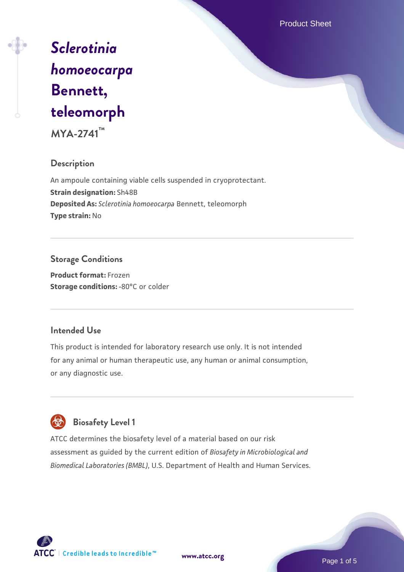Product Sheet

# *[Sclerotinia](https://www.atcc.org/products/mya-2741) [homoeocarpa](https://www.atcc.org/products/mya-2741)* **[Bennett,](https://www.atcc.org/products/mya-2741) [teleomorph](https://www.atcc.org/products/mya-2741)**

**MYA-2741™**

# **Description**

An ampoule containing viable cells suspended in cryoprotectant. **Strain designation:** Sh48B **Deposited As:** *Sclerotinia homoeocarpa* Bennett, teleomorph **Type strain:** No

# **Storage Conditions**

**Product format:** Frozen **Storage conditions: -80°C** or colder

# **Intended Use**

This product is intended for laboratory research use only. It is not intended for any animal or human therapeutic use, any human or animal consumption, or any diagnostic use.

# **Biosafety Level 1**

ATCC determines the biosafety level of a material based on our risk assessment as guided by the current edition of *Biosafety in Microbiological and Biomedical Laboratories (BMBL)*, U.S. Department of Health and Human Services.



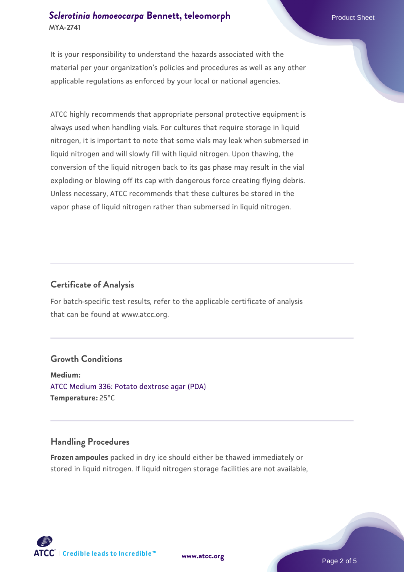#### **[Sclerotinia homoeocarpa](https://www.atcc.org/products/mya-2741) [Bennett, teleomorph](https://www.atcc.org/products/mya-2741)** Product Sheet **MYA-2741**

It is your responsibility to understand the hazards associated with the material per your organization's policies and procedures as well as any other applicable regulations as enforced by your local or national agencies.

ATCC highly recommends that appropriate personal protective equipment is always used when handling vials. For cultures that require storage in liquid nitrogen, it is important to note that some vials may leak when submersed in liquid nitrogen and will slowly fill with liquid nitrogen. Upon thawing, the conversion of the liquid nitrogen back to its gas phase may result in the vial exploding or blowing off its cap with dangerous force creating flying debris. Unless necessary, ATCC recommends that these cultures be stored in the vapor phase of liquid nitrogen rather than submersed in liquid nitrogen.

#### **Certificate of Analysis**

For batch-specific test results, refer to the applicable certificate of analysis that can be found at www.atcc.org.

#### **Growth Conditions**

**Medium:**  [ATCC Medium 336: Potato dextrose agar \(PDA\)](https://www.atcc.org/-/media/product-assets/documents/microbial-media-formulations/3/3/6/atcc-medium-336.pdf?rev=d9160ad44d934cd8b65175461abbf3b9) **Temperature:** 25°C

#### **Handling Procedures**

**Frozen ampoules** packed in dry ice should either be thawed immediately or stored in liquid nitrogen. If liquid nitrogen storage facilities are not available,



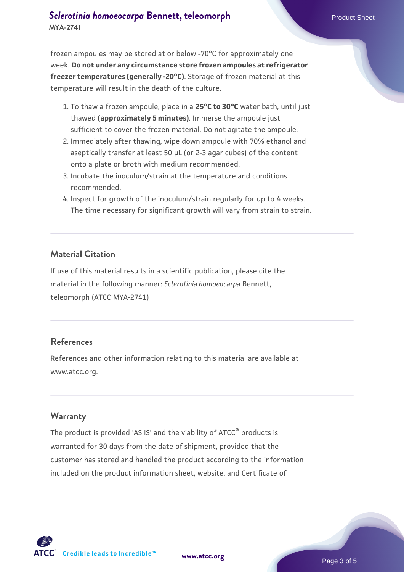#### **[Sclerotinia homoeocarpa](https://www.atcc.org/products/mya-2741) [Bennett, teleomorph](https://www.atcc.org/products/mya-2741)** Product Sheet **MYA-2741**

frozen ampoules may be stored at or below -70°C for approximately one week. **Do not under any circumstance store frozen ampoules at refrigerator freezer temperatures (generally -20°C)**. Storage of frozen material at this temperature will result in the death of the culture.

- 1. To thaw a frozen ampoule, place in a **25°C to 30°C** water bath, until just thawed **(approximately 5 minutes)**. Immerse the ampoule just sufficient to cover the frozen material. Do not agitate the ampoule.
- 2. Immediately after thawing, wipe down ampoule with 70% ethanol and aseptically transfer at least 50 µL (or 2-3 agar cubes) of the content onto a plate or broth with medium recommended.
- 3. Incubate the inoculum/strain at the temperature and conditions recommended.
- 4. Inspect for growth of the inoculum/strain regularly for up to 4 weeks. The time necessary for significant growth will vary from strain to strain.

# **Material Citation**

If use of this material results in a scientific publication, please cite the material in the following manner: *Sclerotinia homoeocarpa* Bennett, teleomorph (ATCC MYA-2741)

# **References**

References and other information relating to this material are available at www.atcc.org.

# **Warranty**

The product is provided 'AS IS' and the viability of ATCC<sup>®</sup> products is warranted for 30 days from the date of shipment, provided that the customer has stored and handled the product according to the information included on the product information sheet, website, and Certificate of

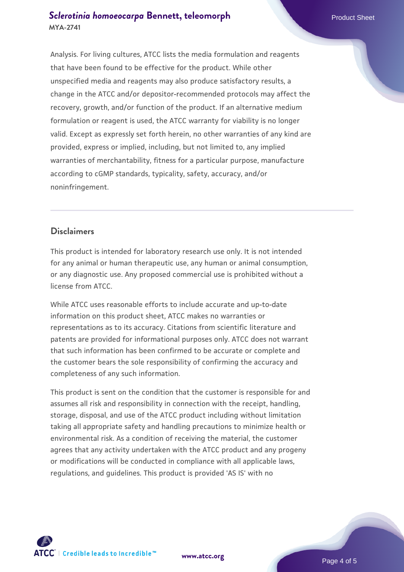Analysis. For living cultures, ATCC lists the media formulation and reagents that have been found to be effective for the product. While other unspecified media and reagents may also produce satisfactory results, a change in the ATCC and/or depositor-recommended protocols may affect the recovery, growth, and/or function of the product. If an alternative medium formulation or reagent is used, the ATCC warranty for viability is no longer valid. Except as expressly set forth herein, no other warranties of any kind are provided, express or implied, including, but not limited to, any implied warranties of merchantability, fitness for a particular purpose, manufacture according to cGMP standards, typicality, safety, accuracy, and/or noninfringement.

#### **Disclaimers**

This product is intended for laboratory research use only. It is not intended for any animal or human therapeutic use, any human or animal consumption, or any diagnostic use. Any proposed commercial use is prohibited without a license from ATCC.

While ATCC uses reasonable efforts to include accurate and up-to-date information on this product sheet, ATCC makes no warranties or representations as to its accuracy. Citations from scientific literature and patents are provided for informational purposes only. ATCC does not warrant that such information has been confirmed to be accurate or complete and the customer bears the sole responsibility of confirming the accuracy and completeness of any such information.

This product is sent on the condition that the customer is responsible for and assumes all risk and responsibility in connection with the receipt, handling, storage, disposal, and use of the ATCC product including without limitation taking all appropriate safety and handling precautions to minimize health or environmental risk. As a condition of receiving the material, the customer agrees that any activity undertaken with the ATCC product and any progeny or modifications will be conducted in compliance with all applicable laws, regulations, and guidelines. This product is provided 'AS IS' with no